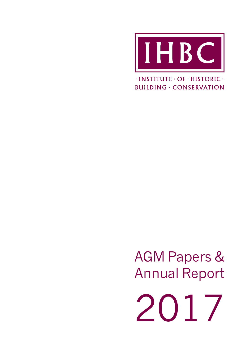

 $\cdot$ INSTITUTE  $\cdot$  OF  $\cdot$  HISTORIC  $\cdot$ **BUILDING · CONSERVATION** 

AGM Papers & Annual Report

2017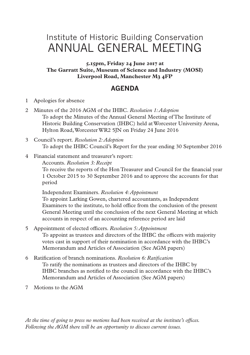# Institute of Historic Building Conservation ANNUAL GENERAL MEETING

**5.15pm, Friday 24 June 2017 at The Garratt Suite, Museum of Science and Industry (MOSI) Liverpool Road, Manchester M3 4FP**

## **AGENDA**

- 1 Apologies for absence
- 2 Minutes of the 2016 AGM of the IHBC. *Resolution 1: Adoption* To adopt the Minutes of the Annual General Meeting of The Institute of Historic Building Conservation (IHBC) held at Worcester University Arena, Hylton Road, Worcester WR2 5JN on Friday 24 June 2016
- 3 Council's report. *Resolution 2: Adoption* To adopt the IHBC Council's Report for the year ending 30 September 2016
- 4 Financial statement and treasurer's report:
	- Accounts. *Resolution 3: Receipt*

To receive the reports of the Hon Treasurer and Council for the financial year 1 October 2015 to 30 September 2016 and to approve the accounts for that period

Independent Examiners. *Resolution 4: Appointment* To appoint Larking Gowen, chartered accountants, as Independent Examiners to the institute, to hold office from the conclusion of the present General Meeting until the conclusion of the next General Meeting at which accounts in respect of an accounting reference period are laid

- 5 Appointment of elected officers. *Resolution 5: Appointment* To appoint as trustees and directors of the IHBC the officers with majority votes cast in support of their nomination in accordance with the IHBC's Memorandum and Articles of Association (See AGM papers)
- 6 Ratification of branch nominations. *Resolution 6: Ratification* To ratify the nominations as trustees and directors of the IHBC by IHBC branches as notified to the council in accordance with the IHBC's Memorandum and Articles of Association (See AGM papers)
- 7 Motions to the AGM

*At the time of going to press no motions had been received at the institute's offices. Following the AGM there will be an opportunity to discuss current issues.*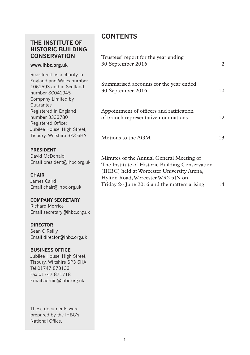## **THE INSTITUTE OF HISTORIC BUILDING CONSERVATION**

#### **www.ihbc.org.uk**

Registered as a charity in England and Wales number 1061593 and in Scotland number SC041945 Company Limited by Guarantee Registered in England number 3333780 Registered Office: Jubilee House, High Street, Tisbury, Wiltshire SP3 6HA

#### **PRESIDENT**

David McDonald Email president@ihbc.org.uk

#### **CHAIR**

James Caird Email chair@ihbc.org.uk

#### **COMPANY SECRETARY**

Richard Morrice Email secretary@ihbc.org.uk

#### **DIRECTOR**

Seán O'Reilly Email director@ihbc.org.uk

#### **BUSINESS OFFICE**

Jubilee House, High Street, Tisbury, Wiltshire SP3 6HA Tel 01747 873133 Fax 01747 871718 Email admin@ihbc.org.uk

These documents were prepared by the IHBC's National Office.

## **CONTENTS**

| Trustees' report for the year ending<br>30 September 2016                                                                                 | 2  |
|-------------------------------------------------------------------------------------------------------------------------------------------|----|
| Summarised accounts for the year ended<br>30 September 2016                                                                               | 10 |
| Appointment of officers and ratification<br>of branch representative nominations                                                          | 12 |
| Motions to the AGM                                                                                                                        | 13 |
| Minutes of the Annual General Meeting of<br>The Institute of Historic Building Conservation<br>(IHBC) held at Worcester University Arena, |    |

Friday 24 June 2016 and the matters arising 14

Hylton Road, Worcester WR2 5JN on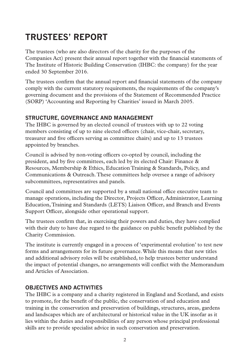# **TRUSTEES' REPORT**

The trustees (who are also directors of the charity for the purposes of the Companies Act) present their annual report together with the financial statements of The Institute of Historic Building Conservation (IHBC: the company) for the year ended 30 September 2016.

The trustees confirm that the annual report and financial statements of the company comply with the current statutory requirements, the requirements of the company's governing document and the provisions of the Statement of Recommended Practice (SORP) 'Accounting and Reporting by Charities' issued in March 2005.

## **STRUCTURE, GOVERNANCE AND MANAGEMENT**

The IHBC is governed by an elected council of trustees with up to 22 voting members consisting of up to nine elected officers (chair, vice-chair, secretary, treasurer and five officers serving as committee chairs) and up to 13 trustees appointed by branches.

Council is advised by non-voting officers co-opted by council, including the president, and by five committees, each led by its elected Chair: Finance & Resources, Membership & Ethics, Education Training & Standards, Policy, and Communications & Outreach. These committees help oversee a range of advisory subcommittees, representatives and panels.

Council and committees are supported by a small national office executive team to manage operations, including the Director, Projects Officer, Administrator, Learning Education, Training and Standards (LETS) Liaison Officer, and Branch and Events Support Officer, alongside other operational support.

The trustees confirm that, in exercising their powers and duties, they have complied with their duty to have due regard to the guidance on public benefit published by the Charity Commission.

The institute is currently engaged in a process of 'experimental evolution' to test new forms and arrangements for its future governance. While this means that new titles and additional advisory roles will be established, to help trustees better understand the impact of potential changes, no arrangements will conflict with the Memorandum and Articles of Association.

## **OBJECTIVES AND ACTIVITIES**

The IHBC is a company and a charity registered in England and Scotland, and exists to promote, for the benefit of the public, the conservation of and education and training in the conservation and preservation of buildings, structures, areas, gardens and landscapes which are of architectural or historical value in the UK insofar as it lies within the duties and responsibilities of any person whose principal professional skills are to provide specialist advice in such conservation and preservation.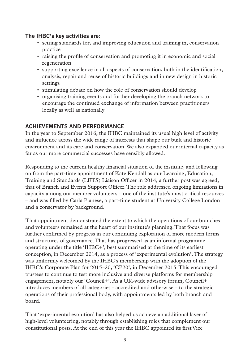#### **The IHBC's key activities are:**

- setting standards for, and improving education and training in, conservation practice
- raising the profile of conservation and promoting it in economic and social regeneration
- supporting excellence in all aspects of conservation, both in the identification, analysis, repair and reuse of historic buildings and in new design in historic settings
- stimulating debate on how the role of conservation should develop
- organising training events and further developing the branch network to encourage the continued exchange of information between practitioners locally as well as nationally

## **ACHIEVEMENTS AND PERFORMANCE**

In the year to September 2016, the IHBC maintained its usual high level of activity and influence across the wide range of interests that shape our built and historic environment and its care and conservation. We also expanded our internal capacity as far as our more commercial successes have sensibly allowed.

Responding to the current healthy financial situation of the institute, and following on from the part-time appointment of Kate Kendall as our Learning, Education, Training and Standards (LETS) Liaison Officer in 2014, a further post was agreed, that of Branch and Events Support Officer. The role addressed ongoing limitations in capacity among our member volunteers – one of the institute's most critical resources – and was filled by Carla Pianese, a part-time student at University College London and a conservator by background.

That appointment demonstrated the extent to which the operations of our branches and volunteers remained at the heart of our institute's planning. That focus was further confirmed by progress in our continuing exploration of more modern forms and structures of governance. That has progressed as an informal programme operating under the title 'IHBC+', best summarised at the time of its earliest conception, in December 2014, as a process of 'experimental evolution'. The strategy was uniformly welcomed by the IHBC's membership with the adoption of the IHBC's Corporate Plan for 2015–20, 'CP20', in December 2015. This encouraged trustees to continue to test more inclusive and diverse platforms for membership engagement, notably our 'Council+'. As a UK-wide advisory forum, Council+ introduces members of all categories - accredited and otherwise – to the strategic operations of their professional body, with appointments led by both branch and board.

That 'experimental evolution' has also helped us achieve an additional layer of high-level volunteering, notably through establishing roles that complement our constitutional posts. At the end of this year the IHBC appointed its first Vice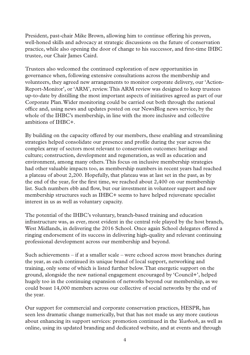President, past-chair Mike Brown, allowing him to continue offering his proven, well-honed skills and advocacy at strategic discussions on the future of conservation practice, while also opening the door of change to his successor, and first-time IHBC trustee, our Chair James Caird.

Trustees also welcomed the continued exploration of new opportunities in governance when, following extensive consultations across the membership and volunteers, they agreed new arrangements to monitor corporate delivery, our 'Action-Report-Monitor', or 'ARM', review. This ARM review was designed to keep trustees up-to-date by distilling the most important aspects of initiatives agreed as part of our Corporate Plan. Wider monitoring could be carried out both through the national office and, using news and updates posted on our NewsBlog news service, by the whole of the IHBC's membership, in line with the more inclusive and collective ambitions of IHBC+.

By building on the capacity offered by our members, these enabling and streamlining strategies helped consolidate our presence and profile during the year across the complex array of sectors most relevant to conservation outcomes: heritage and culture; construction, development and regeneration, as well as education and environment, among many others. This focus on inclusive membership strategies had other valuable impacts too, as membership numbers in recent years had reached a plateau of about 2,200. Hopefully, that plateau was at last set in the past, as by the end of the year, for the first time, we reached about 2,400 on our membership list. Such numbers ebb and flow, but our investment in volunteer support and new membership structures such as IHBC+ seems to have helped rejuvenate specialist interest in us as well as voluntary capacity.

The potential of the IHBC's voluntary, branch-based training and education infrastructure was, as ever, most evident in the central role played by the host branch, West Midlands, in delivering the 2016 School. Once again School delegates offered a ringing endorsement of its success in delivering high-quality and relevant continuing professional development across our membership and beyond.

Such achievements – if at a smaller scale – were echoed across most branches during the year, as each continued its unique brand of local support, networking and training, only some of which is listed further below. That energetic support on the ground, alongside the new national engagement encouraged by 'Council+', helped hugely too in the continuing expansion of networks beyond our membership, as we could boast 14,000 members across our collective of social networks by the end of the year.

Our support for commercial and corporate conservation practices, HESPR, has seen less dramatic change numerically, but that has not made us any more cautious about enhancing its support services: promotion continued in the *Yearbook*, as well as online, using its updated branding and dedicated website, and at events and through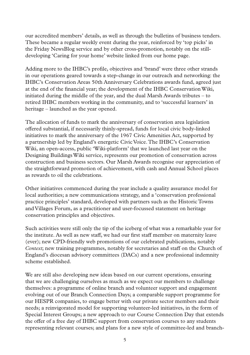our accredited members' details, as well as through the bulletins of business tenders. These became a regular weekly event during the year, reinforced by 'top picks' in the Friday NewsBlog service and by other cross-promotion, notably on the stilldeveloping 'Caring for your home' website linked from our home page.

Adding more to the IHBC's profile, objectives and 'brand' were three other strands in our operations geared towards a step-change in our outreach and networking: the IHBC's Conservation Areas 50th Anniversary Celebrations awards fund, agreed just at the end of the financial year; the development of the IHBC Conservation Wiki, initiated during the middle of the year, and the dual Marsh Awards tributes – to retired IHBC members working in the community, and to 'successful learners' in heritage – launched as the year opened.

The allocation of funds to mark the anniversary of conservation area legislation offered substantial, if necessarily thinly-spread, funds for local civic body-linked initiatives to mark the anniversary of the 1967 Civic Amenities Act, supported by a partnership led by England's energetic Civic Voice. The IHBC's Conservation Wiki, an open-access, public 'Wiki-platform' that we launched last year on the Designing Buildings Wiki service, represents our promotion of conservation across construction and business sectors. Our Marsh Awards recognise our appreciation of the straightforward promotion of achievement, with cash and Annual School places as rewards to oil the celebrations.

Other initiatives commenced during the year include a quality assurance model for local authorities; a new communications strategy, and a 'conservation professional practice principles' standard, developed with partners such as the Historic Towns and Villages Forum, as a practitioner and user-focussed statement on heritage conservation principles and objectives.

Such activities were still only the tip of the iceberg of what was a remarkable year for the institute. As well as new staff, we had our first staff member on maternity leave (ever); new CPD-friendly web promotions of our celebrated publications, notably *Context*; new training programmes, notably for secretaries and staff on the Church of England's diocesan advisory committees (DACs) and a new professional indemnity scheme established.

We are still also developing new ideas based on our current operations, ensuring that we are challenging ourselves as much as we expect our members to challenge themselves: a programme of online branch and volunteer support and engagement evolving out of our Branch Connection Days; a comparable support programme for our HESPR companies, to engage better with our private sector members and their needs; a reinvigorated model for supporting volunteer-led initiatives, in the form of Special Interest Groups; a new approach to our Course Connection Day that extends the offer of a free day of IHBC support from conservation courses to any students representing relevant courses; and plans for a new style of committee-led and branch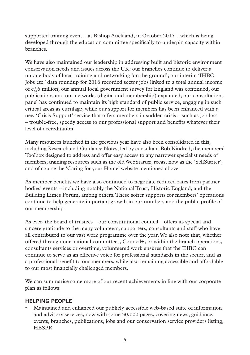supported training event – at Bishop Auckland, in October 2017 – which is being developed through the education committee specifically to underpin capacity within branches.

We have also maintained our leadership in addressing built and historic environment conservation needs and issues across the UK: our branches continue to deliver a unique body of local training and networking 'on the ground'; our interim 'IHBC Jobs etc.' data roundup for 2016 recorded sector jobs linked to a total annual income of c£6 million; our annual local government survey for England was continued; our publications and our networks (digital and membership) expanded; our consultations panel has continued to maintain its high standard of public service, engaging in such critical areas as curtilage, while our support for members has been enhanced with a new 'Crisis Support' service that offers members in sudden crisis – such as job loss – trouble-free, speedy access to our professional support and benefits whatever their level of accreditation.

Many resources launched in the previous year have also been consolidated in this, including Research and Guidance Notes, led by consultant Bob Kindred; the members' Toolbox designed to address and offer easy access to any narrower specialist needs of members; training resources such as the old WebStarter, recast now as the 'SelfStarter', and of course the 'Caring for your Home' website mentioned above.

As member benefits we have also continued to negotiate reduced rates from partner bodies' events – including notably the National Trust; Historic England, and the Building Limes Forum, among others. These softer supports for members' operations continue to help generate important growth in our numbers and the public profile of our membership.

As ever, the board of trustees – our constitutional council – offers its special and sincere gratitude to the many volunteers, supporters, consultants and staff who have all contributed to our vast work programme over the year. We also note that, whether offered through our national committees, Council+, or within the branch operations, consultants services or overtime, volunteered work ensures that the IHBC can continue to serve as an effective voice for professional standards in the sector, and as a professional benefit to our members, while also remaining accessible and affordable to our most financially challenged members.

We can summarise some more of our recent achievements in line with our corporate plan as follows:

## **HELPING PEOPLE**

• Maintained and enhanced our publicly accessible web-based suite of information and advisory services, now with some 30,000 pages, covering news, guidance, events, branches, publications, jobs and our conservation service providers listing, HESPR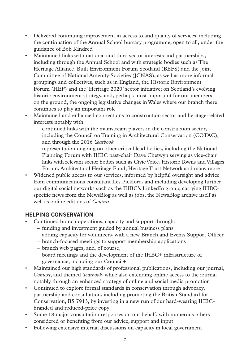- Delivered continuing improvement in access to and quality of services, including the continuation of the Annual School bursary programme, open to all, under the guidance of Bob Kindred
- Maintained links with national and third sector interests and partnerships, including through the Annual School and with strategic bodies such as The Heritage Alliance, Built Environment Forum Scotland (BEFS) and the Joint Committee of National Amenity Societies (JCNAS), as well as more informal groupings and collectives, such as in England, the Historic Environment Forum (HEF) and the 'Heritage 2020' sector initiative; on Scotland's evolving historic environment strategy, and, perhaps most important for our members on the ground, the ongoing legislative changes in Wales where our branch there continues to play an important role
- Maintained and enhanced connections to construction sector and heritage-related interests notably with:
	- continued links with the mainstream players in the construction sector, including the Council on Training in Architectural Conservation (COTAC), and through the 2016 *Yearbook*
	- representation ongoing on other critical lead bodies, including the National Planning Forum with IHBC past-chair Dave Chetwyn serving as vice-chair
	- links with relevant sector bodies such as Civic Voice, Historic Towns and Villages Forum, Architectural Heritage Fund, Heritage Trust Network and many more
- Widened public access to our services, informed by helpful oversight and advice from communications consultant Les Pickford, and including developing further our digital social networks such as the IHBC's LinkedIn group, carrying IHBCspecific news from the NewsBlog as well as jobs, the NewsBlog archive itself as well as online editions of *Context*.

## **HELPING CONSERVATION**

- Continued branch operations, capacity and support through:
	- funding and investment guided by annual business plans
	- adding capacity for volunteers, with a new Branch and Events Support Officer
	- branch-focused meetings to support membership applications
	- branch web pages, and, of course,
	- board meetings and the development of the IHBC+ infrastructure of governance, including our Council+
- Maintained our high standards of professional publications, including our journal, *Context*, and themed *Yearbook*, while also extending online access to the journal notably through an enhanced strategy of online and social media promotion
- Continued to explore formal standards in conservation through advocacy, partnership and consultation, including promoting the British Standard for Conservation, BS 7913, by investing in a new run of our hard-wearing IHBCbranded and reduced-price copy
- Some 18 major consultation responses on our behalf, with numerous others considered or benefiting from our advice, support and input
- Following extensive internal discussions on capacity in local government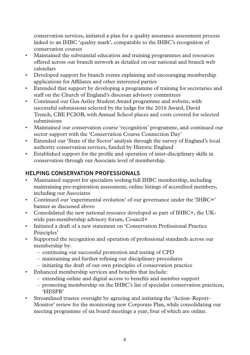conservation services, initiated a plan for a quality assurance assessment process linked to an IHBC 'quality mark', comparable to the IHBC's recognition of conservation courses

- Maintained the substantial education and training programmes and resources offered across our branch network as detailed on our national and branch web calendars
- Developed support for branch events explaining and encouraging membership applications for Affiliates and other interested parties
- Extended that support by developing a programme of training for secretaries and staff on the Church of England's diocesan advisory committees
- Continued our Gus Astley Student Award programme and website, with successful submissions selected by the judge for the 2016 Award, David Trench, CBE FCIOB, with Annual School places and costs covered for selected submissions
- Maintained our conservation course 'recognition' programme, and continued our sector support with the 'Conservation Course Connection Day'
- Extended our 'State of the Sector' analysis through the survey of England's local authority conservation services, funded by Historic England
- Established support for the profile and operation of inter-disciplinary skills in conservation through our Associate level of membership.

## **HELPING CONSERVATION PROFESSIONALS**

- Maintained support for specialists seeking full IHBC membership, including maintaining pre-registration assessment, online listings of accredited members, including our Associates
- Continued our 'experimental evolution' of our governance under the 'IHBC+' banner as discussed above
- Consolidated the new national resource developed as part of IHBC+, the UKwide pan-membership advisory forum, Council+
- Initiated a draft of a new statement on 'Conservation Professional Practice Principles'
- Supported the recognition and operation of professional standards across our membership by:
	- continuing our successful promotion and testing of CPD
	- maintaining and further refining our disciplinary procedures
	- initiating the draft of our own principles of conservation practice
- Enhanced membership services and benefits that include:
	- extending online and digital access to benefits and member support
	- promoting membership on the IHBC's list of specialist conservation practices, 'HESPR'
- Streamlined trustee oversight by agreeing and initiating the 'Action–Report– Monitor' review for the monitoring new Corporate Plan, while consolidating our meeting programme of six board meetings a year, four of which are online.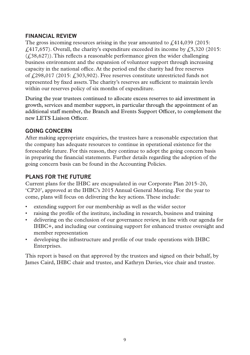## **FINANCIAL REVIEW**

The gross incoming resources arising in the year amounted to  $f.414,039$  (2015:  $f(417,657)$ . Overall, the charity's expenditure exceeded its income by  $f(5,320)$  (2015:  $(f<sub>1</sub>38,627)$ ). This reflects a reasonable performance given the wider challenging business environment and the expansion of volunteer support through increasing capacity in the national office. At the period end the charity had free reserves of  $\frac{298,017}{2015}$ ;  $\frac{2015}{203,902}$ . Free reserves constitute unrestricted funds not represented by fixed assets. The charity's reserves are sufficient to maintain levels within our reserves policy of six months of expenditure.

During the year trustees continued to allocate excess reserves to aid investment in growth, services and member support, in particular through the appointment of an additional staff member, the Branch and Events Support Officer, to complement the new LETS Liaison Officer.

## **GOING CONCERN**

After making appropriate enquiries, the trustees have a reasonable expectation that the company has adequate resources to continue in operational existence for the foreseeable future. For this reason, they continue to adopt the going concern basis in preparing the financial statements. Further details regarding the adoption of the going concern basis can be found in the Accounting Policies.

## **PLANS FOR THE FUTURE**

Current plans for the IHBC are encapsulated in our Corporate Plan 2015–20, 'CP20', approved at the IHBC's 2015 Annual General Meeting. For the year to come, plans will focus on delivering the key actions. These include:

- extending support for our membership as well as the wider sector
- raising the profile of the institute, including in research, business and training
- delivering on the conclusion of our governance review, in line with our agenda for IHBC+, and including our continuing support for enhanced trustee oversight and member representation
- developing the infrastructure and profile of our trade operations with IHBC Enterprises.

This report is based on that approved by the trustees and signed on their behalf, by James Caird, IHBC chair and trustee, and Kathryn Davies, vice chair and trustee.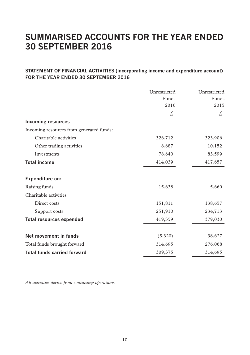## **SUMMARISED ACCOUNTS FOR THE YEAR ENDED 30 SEPTEMBER 2016**

## **STATEMENT OF FINANCIAL ACTIVITIES (incorporating income and expenditure account) FOR THE YEAR ENDED 30 SEPTEMBER 2016**

|                                          | Unrestricted | Unrestricted |
|------------------------------------------|--------------|--------------|
|                                          | Funds        | Funds        |
|                                          | 2016         | 2015         |
|                                          | £,           | £.           |
| <b>Incoming resources</b>                |              |              |
| Incoming resources from generated funds: |              |              |
| Charitable activities                    | 326,712      | 323,906      |
| Other trading activities                 | 8,687        | 10,152       |
| Investments                              | 78,640       | 83,599       |
| <b>Total income</b>                      | 414,039      | 417,657      |
| Expenditure on:                          |              |              |
| Raising funds                            | 15,638       | 5,660        |
| Charitable activities                    |              |              |
| Direct costs                             | 151,811      | 138,657      |
| Support costs                            | 251,910      | 234,713      |
| <b>Total resources expended</b>          | 419,359      | 379,030      |
| Net movement in funds                    | (5,320)      | 38,627       |
| Total funds brought forward              | 314,695      | 276,068      |
| <b>Total funds carried forward</b>       | 309,375      | 314,695      |

*All activities derive from continuing operations.*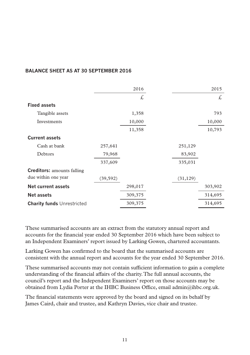#### **BALANCE SHEET AS AT 30 SEPTEMBER 2016**

|           | 2016    |           | 2015    |
|-----------|---------|-----------|---------|
|           | £,      |           | £,      |
|           |         |           |         |
|           | 1,358   |           | 793     |
|           | 10,000  |           | 10,000  |
|           | 11,358  |           | 10,793  |
|           |         |           |         |
| 257,641   |         | 251,129   |         |
| 79,968    |         | 83,902    |         |
| 337,609   |         | 335,031   |         |
|           |         |           |         |
| (39, 592) |         | (31, 129) |         |
|           | 298,017 |           | 303,902 |
|           | 309,375 |           | 314,695 |
|           | 309,375 |           | 314,695 |
|           |         |           |         |

These summarised accounts are an extract from the statutory annual report and accounts for the financial year ended 30 September 2016 which have been subject to an Independent Examiners' report issued by Larking Gowen, chartered accountants.

Larking Gowen has confirmed to the board that the summarised accounts are consistent with the annual report and accounts for the year ended 30 September 2016.

These summarised accounts may not contain sufficient information to gain a complete understanding of the financial affairs of the charity. The full annual accounts, the council's report and the Independent Examiners' report on those accounts may be obtained from Lydia Porter at the IHBC Business Office, email admin@ihbc.org.uk.

The financial statements were approved by the board and signed on its behalf by James Caird, chair and trustee, and Kathryn Davies, vice chair and trustee.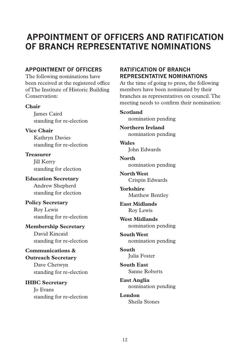## **APPOINTMENT OF OFFICERS AND RATIFICATION OF BRANCH REPRESENTATIVE NOMINATIONS**

## **APPOINTMENT OF OFFICERS**

The following nominations have been received at the registered office of The Institute of Historic Building Conservation:

#### **Chair**

James Caird standing for re-election

**Vice Chair**

Kathryn Davies standing for re-election

**Treasurer** Jill Kerry standing for election

**Education Secretary** Andrew Shepherd standing for election

**Policy Secretary** Roy Lewis standing for re-election

**Membership Secretary** David Kincaid standing for re-election

**Communications & Outreach Secretary** Dave Chetwyn standing for re-election

**IHBC Secretary** Jo Evans standing for re-election

## **RATIFICATION OF BRANCH REPRESENTATIVE NOMINATIONS**

At the time of going to press, the following members have been nominated by their branches as representatives on council. The meeting needs to confirm their nomination:

#### **Scotland**

nomination pending

**Northern Ireland** nomination pending

**Wales** John Edwards

**North** nomination pending

**North West** Crispin Edwards

**Yorkshire** Matthew Bentley

**East Midlands** Roy Lewis

**West Midlands** nomination pending

**South West** nomination pending

**South** Julia Foster

**South East** Sanne Roberts

**East Anglia** nomination pending

**London** Sheila Stones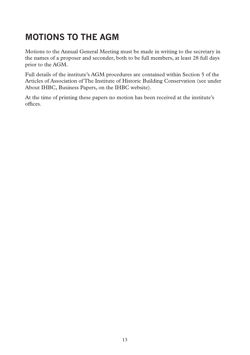# **MOTIONS TO THE AGM**

Motions to the Annual General Meeting must be made in writing to the secretary in the names of a proposer and seconder, both to be full members, at least 28 full days prior to the AGM.

Full details of the institute's AGM procedures are contained within Section 5 of the Articles of Association of The Institute of Historic Building Conservation (see under About IHBC, Business Papers, on the IHBC website).

At the time of printing these papers no motion has been received at the institute's offices.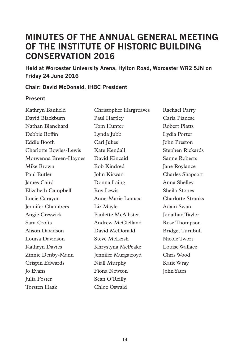## **MINUTES OF THE ANNUAL GENERAL MEETING OF THE INSTITUTE OF HISTORIC BUILDING CONSERVATION 2016**

**Held at Worcester University Arena, Hylton Road, Worcester WR2 5JN on Friday 24 June 2016**

## **Chair: David McDonald, IHBC President**

## **Present**

| Kathryn Banfield         | Christopher Hargreaves | Rachael Parry            |
|--------------------------|------------------------|--------------------------|
| David Blackburn          | Paul Hartley           | Carla Pianese            |
| Nathan Blanchard         | Tom Hunter             | <b>Robert Platts</b>     |
| Debbie Boffin            | Lynda Jubb             | Lydia Porter             |
| Eddie Booth              | Carl Jukes             | John Preston             |
| Charlotte Bowles-Lewis   | Kate Kendall           | Stephen Rickards         |
| Morwenna Breen-Haynes    | David Kincaid          | Sanne Roberts            |
| Mike Brown               | <b>Bob Kindred</b>     | Jane Roylance            |
| Paul Butler              | John Kirwan            | <b>Charles Shapcott</b>  |
| James Caird              | Donna Laing            | Anna Shelley             |
| Elizabeth Campbell       | Roy Lewis              | Sheila Stones            |
| Lucie Caravon            | Anne-Marie Lomax       | <b>Charlotte Stranks</b> |
| <b>Jennifer Chambers</b> | Liz Mayle              | Adam Swan                |
| Angie Creswick           | Paulette McAllister    | Jonathan Taylor          |
| Sara Crofts              | Andrew McClelland      | Rose Thompson            |
| Alison Davidson          | David McDonald         | <b>Bridget Turnbull</b>  |
| Louisa Davidson          | Steve McLeish          | Nicole Twort             |
| Kathryn Davies           | Khrystyna McPeake      | Louise Wallace           |
| Zinnie Denby-Mann        | Jennifer Murgatroyd    | Chris Wood               |
| Crispin Edwards          | Niall Murphy           | Katie Wray               |
| <b>Io Evans</b>          | Fiona Newton           | John Yates               |
| Julia Foster             | Seán O'Reilly          |                          |
| Torsten Haak             | Chloe Oswald           |                          |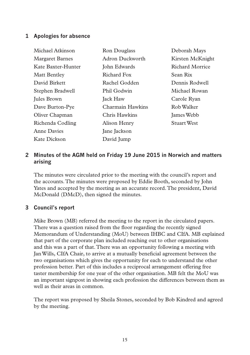## **1 Apologies for absence**

| Michael Atkinson       | Ron Douglass     | Deborah Mays       |
|------------------------|------------------|--------------------|
| <b>Margaret Barnes</b> | Adron Duckworth  | Kirsten McKnight   |
| Kate Baxter-Hunter     | John Edwards     | Richard Morrice    |
| <b>Matt Bentley</b>    | Richard Fox      | Sean Rix           |
| David Birkett          | Rachel Godden    | Dennis Rodwell     |
| Stephen Bradwell       | Phil Godwin      | Michael Rowan      |
| Jules Brown            | Jack Haw         | Carole Ryan        |
| Dave Burton-Pye        | Charmain Hawkins | Rob Walker         |
| Oliver Chapman         | Chris Hawkins    | James Webb         |
| Richenda Codling       | Alison Henry     | <b>Stuart West</b> |
| Anne Davies            | Jane Jackson     |                    |
| Kate Dickson           | David Jump       |                    |

## **2 Minutes of the AGM held on Friday 19 June 2015 in Norwich and matters arising**

The minutes were circulated prior to the meeting with the council's report and the accounts. The minutes were proposed by Eddie Booth, seconded by John Yates and accepted by the meeting as an accurate record. The president, David McDonald (DMcD), then signed the minutes.

## **3 Council's report**

Mike Brown (MB) referred the meeting to the report in the circulated papers. There was a question raised from the floor regarding the recently signed Memorandum of Understanding (MoU) between IHBC and CIfA. MB explained that part of the corporate plan included reaching out to other organisations and this was a part of that. There was an opportunity following a meeting with Jan Wills, CIfA Chair, to arrive at a mutually beneficial agreement between the two organisations which gives the opportunity for each to understand the other profession better. Part of this includes a reciprocal arrangement offering free taster membership for one year of the other organisation. MB felt the MoU was an important signpost in showing each profession the differences between them as well as their areas in common.

The report was proposed by Sheila Stones, seconded by Bob Kindred and agreed by the meeting.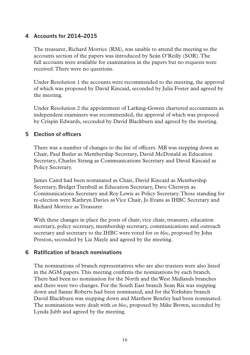## **4 Accounts for 2014–2015**

The treasurer, Richard Morrice (RM), was unable to attend the meeting so the accounts section of the papers was introduced by Seán O'Reilly (SOR). The full accounts were available for examination in the papers but no requests were received. There were no questions.

Under Resolution 1 the accounts were recommended to the meeting, the approval of which was proposed by David Kincaid, seconded by Julia Foster and agreed by the meeting.

Under Resolution 2 the appointment of Larking-Gowen chartered accountants as independent examiners was recommended, the approval of which was proposed by Crispin Edwards, seconded by David Blackburn and agreed by the meeting.

## **5 Election of officers**

There was a number of changes to the list of officers. MB was stepping down as Chair, Paul Butler as Membership Secretary, David McDonald as Education Secretary, Charles Strang as Communications Secretary and David Kincaid as Policy Secretary.

James Caird had been nominated as Chair, David Kincaid as Membership Secretary, Bridget Turnbull as Education Secretary, Dave Chetwyn as Communications Secretary and Roy Lewis as Policy Secretary. Those standing for re-election were Kathryn Davies as Vice Chair, Jo Evans as IHBC Secretary and Richard Morrice as Treasurer.

With these changes in place the posts of chair, vice chair, treasurer, education secretary, policy secretary, membership secretary, communications and outreach secretary and secretary to the IHBC were voted for *en bloc*, proposed by John Preston, seconded by Liz Mayle and agreed by the meeting.

#### **6 Ratification of branch nominations**

The nominations of branch representatives who are also trustees were also listed in the AGM papers. This meeting confirms the nominations by each branch. There had been no nomination for the North and the West Midlands branches and there were two changes. For the South East branch Sean Rix was stepping down and Sanne Roberts had been nominated, and for the Yorkshire branch David Blackburn was stepping down and Matthew Bentley had been nominated. The nominations were dealt with *en bloc*, proposed by Mike Brown, seconded by Lynda Jubb and agreed by the meeting.